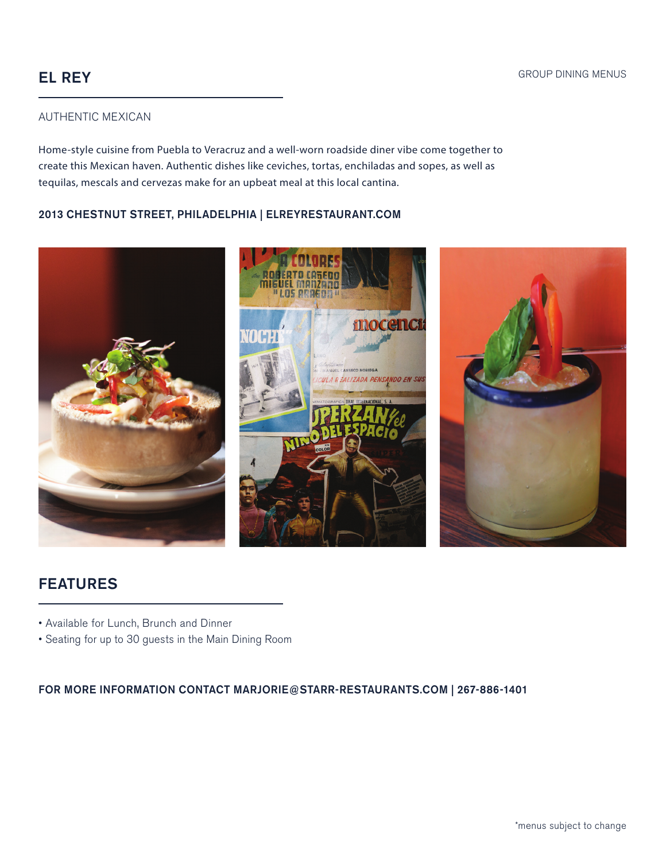# EL REY

#### AUTHENTIC MEXICAN

Home-style cuisine from Puebla to Veracruz and a well-worn roadside diner vibe come together to create this Mexican haven. Authentic dishes like ceviches, tortas, enchiladas and sopes, as well as tequilas, mescals and cervezas make for an upbeat meal at this local cantina.

#### 2013 CHESTNUT STREET, PHILADELPHIA | ELREYRESTAURANT.COM



# FEATURES

- Available for Lunch, Brunch and Dinner
- Seating for up to 30 guests in the Main Dining Room

FOR MORE INFORMATION CONTACT MARJORIE@STARR-RESTAURANTS.COM | 267-886-1401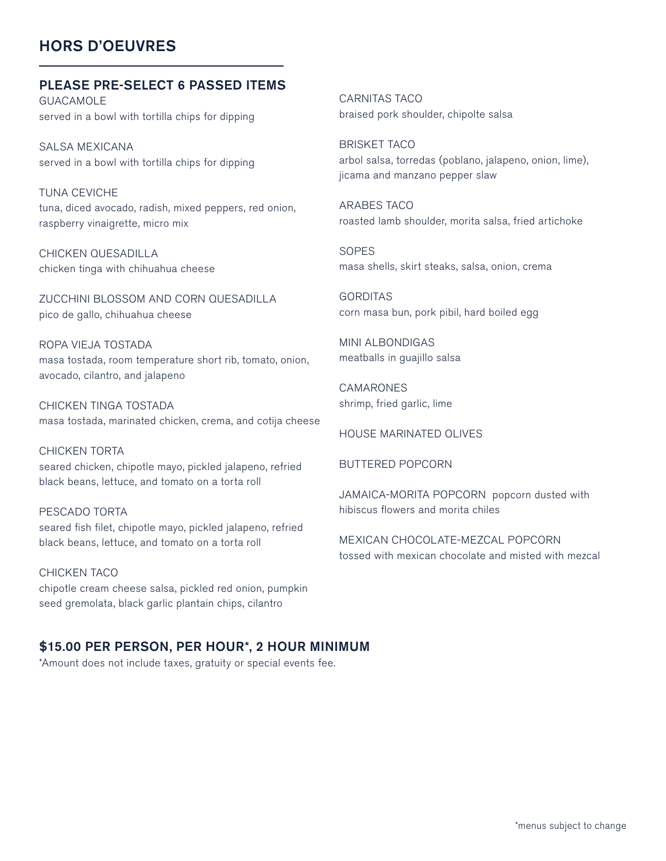# HORS D'OEUVRES

#### PLEASE PRE-SELECT 6 PASSED ITEMS

GUACAMOLE served in a bowl with tortilla chips for dipping

SALSA MEXICANA served in a bowl with tortilla chips for dipping

TUNA CEVICHE tuna, diced avocado, radish, mixed peppers, red onion, raspberry vinaigrette, micro mix

CHICKEN QUESADILLA chicken tinga with chihuahua cheese

ZUCCHINI BLOSSOM AND CORN QUESADILLA pico de gallo, chihuahua cheese

ROPA VIEJA TOSTADA masa tostada, room temperature short rib, tomato, onion, avocado, cilantro, and jalapeno

CHICKEN TINGA TOSTADA masa tostada, marinated chicken, crema, and cotija cheese

CHICKEN TORTA seared chicken, chipotle mayo, pickled jalapeno, refried black beans, lettuce, and tomato on a torta roll

PESCADO TORTA seared fish filet, chipotle mayo, pickled jalapeno, refried black beans, lettuce, and tomato on a torta roll

CHICKEN TACO chipotle cream cheese salsa, pickled red onion, pumpkin seed gremolata, black garlic plantain chips, cilantro

## \$15.00 PER PERSON, PER HOUR\*, 2 HOUR MINIMUM

\*Amount does not include taxes, gratuity or special events fee.

CARNITAS TACO braised pork shoulder, chipolte salsa

BRISKET TACO arbol salsa, torredas (poblano, jalapeno, onion, lime), jicama and manzano pepper slaw

ARABES TACO roasted lamb shoulder, morita salsa, fried artichoke

SOPES masa shells, skirt steaks, salsa, onion, crema

**GORDITAS** corn masa bun, pork pibil, hard boiled egg

MINI ALBONDIGAS meatballs in guajillo salsa

CAMARONES shrimp, fried garlic, lime

HOUSE MARINATED OLIVES

BUTTERED POPCORN

JAMAICA-MORITA POPCORN popcorn dusted with hibiscus flowers and morita chiles

MEXICAN CHOCOLATE-MEZCAL POPCORN tossed with mexican chocolate and misted with mezcal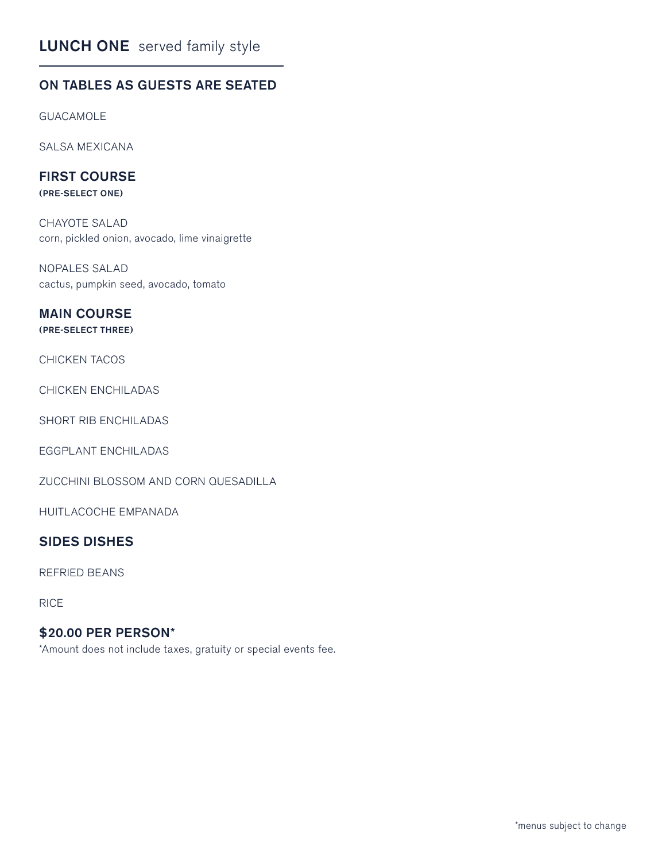# LUNCH ONE served family style

## ON TABLES AS GUESTS ARE SEATED

GUACAMOLE

SALSA MEXICANA

### FIRST COURSE

(PRE-SELECT ONE)

CHAYOTE SALAD corn, pickled onion, avocado, lime vinaigrette

NOPALES SALAD cactus, pumpkin seed, avocado, tomato

# MAIN COURSE

### (PRE-SELECT THREE)

#### CHICKEN TACOS

CHICKEN ENCHILADAS

SHORT RIB ENCHILADAS

EGGPLANT ENCHILADAS

ZUCCHINI BLOSSOM AND CORN QUESADILLA

HUITLACOCHE EMPANADA

### SIDES DISHES

REFRIED BEANS

RICE

## \$20.00 PER PERSON\*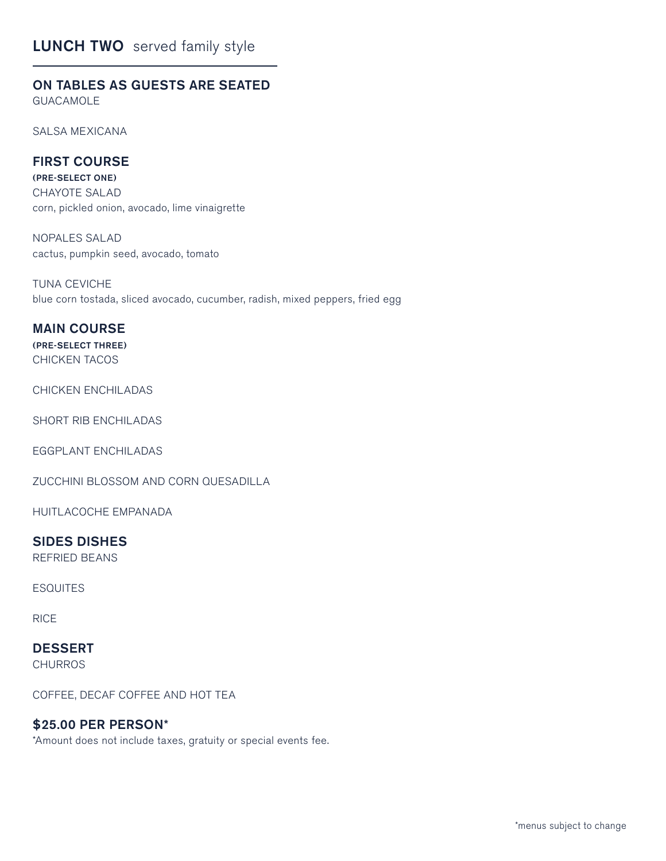# **LUNCH TWO** served family style

## ON TABLES AS GUESTS ARE SEATED

GUACAMOLE

SALSA MEXICANA

## FIRST COURSE

(PRE-SELECT ONE) CHAYOTE SALAD corn, pickled onion, avocado, lime vinaigrette

NOPALES SALAD cactus, pumpkin seed, avocado, tomato

TUNA CEVICHE blue corn tostada, sliced avocado, cucumber, radish, mixed peppers, fried egg

#### MAIN COURSE

(PRE-SELECT THREE) CHICKEN TACOS

CHICKEN ENCHILADAS

SHORT RIB ENCHILADAS

EGGPLANT ENCHILADAS

ZUCCHINI BLOSSOM AND CORN QUESADILLA

HUITLACOCHE EMPANADA

#### SIDES DISHES

REFRIED BEANS

**ESQUITES** 

RICE

# DESSERT

**CHURROS** 

COFFEE, DECAF COFFEE AND HOT TEA

## \$25.00 PER PERSON\*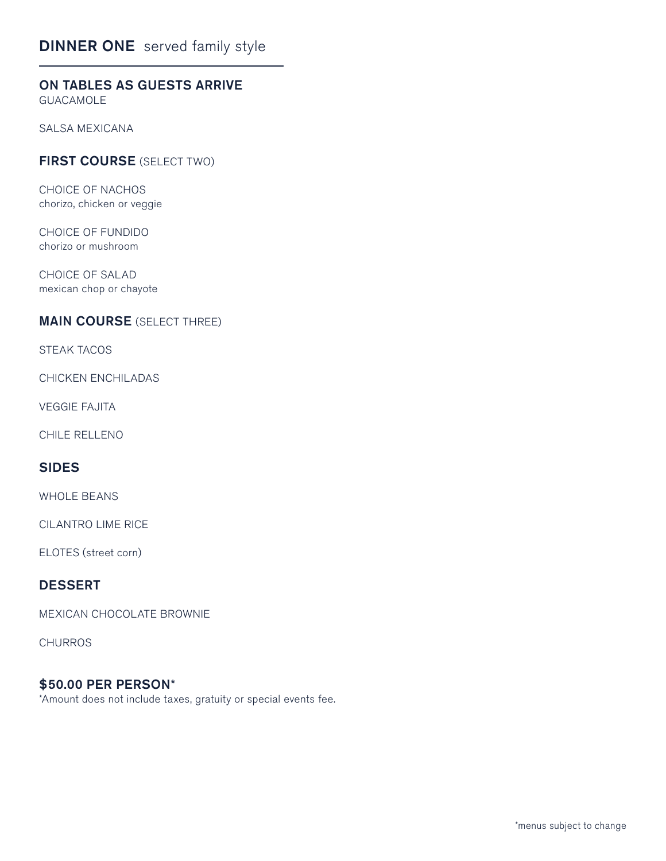# DINNER ONE served family style

# ON TABLES AS GUESTS ARRIVE

GUACAMOLE

SALSA MEXICANA

## FIRST COURSE (SELECT TWO)

CHOICE OF NACHOS chorizo, chicken or veggie

CHOICE OF FUNDIDO chorizo or mushroom

CHOICE OF SALAD mexican chop or chayote

#### MAIN COURSE (SELECT THREE)

STEAK TACOS

CHICKEN ENCHILADAS

VEGGIE FAJITA

CHILE RELLENO

## SIDES

WHOLE BEANS

CILANTRO LIME RICE

ELOTES (street corn)

## DESSERT

MEXICAN CHOCOLATE BROWNIE

**CHURROS** 

#### \$50.00 PER PERSON\*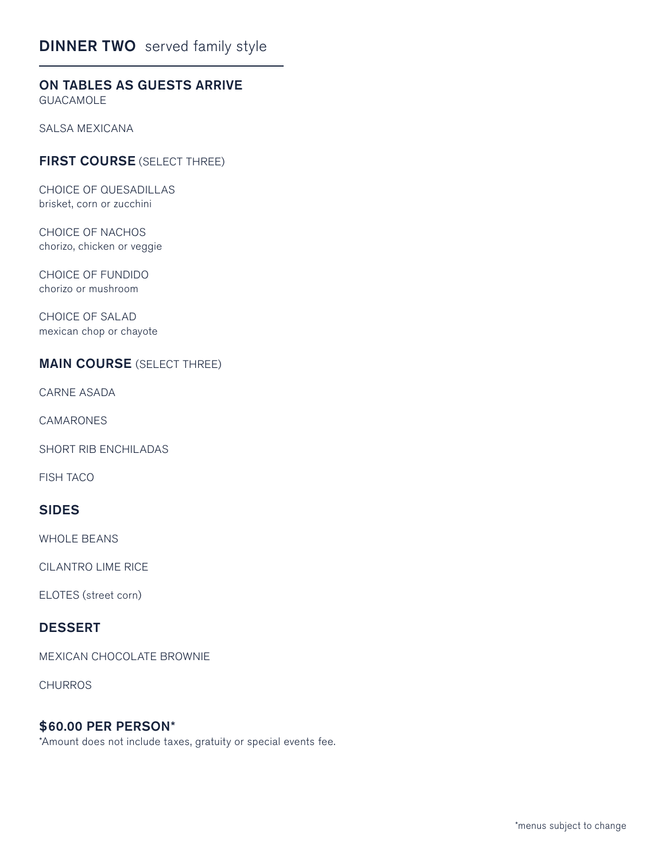# **DINNER TWO** served family style

# ON TABLES AS GUESTS ARRIVE

GUACAMOLE

SALSA MEXICANA

## FIRST COURSE (SELECT THREE)

CHOICE OF QUESADILLAS brisket, corn or zucchini

CHOICE OF NACHOS chorizo, chicken or veggie

CHOICE OF FUNDIDO chorizo or mushroom

CHOICE OF SALAD mexican chop or chayote

## MAIN COURSE (SELECT THREE)

CARNE ASADA

CAMARONES

SHORT RIB ENCHILADAS

FISH TACO

## SIDES

WHOLE BEANS

CILANTRO LIME RICE

ELOTES (street corn)

#### DESSERT

MEXICAN CHOCOLATE BROWNIE

**CHURROS** 

#### \$60.00 PER PERSON\*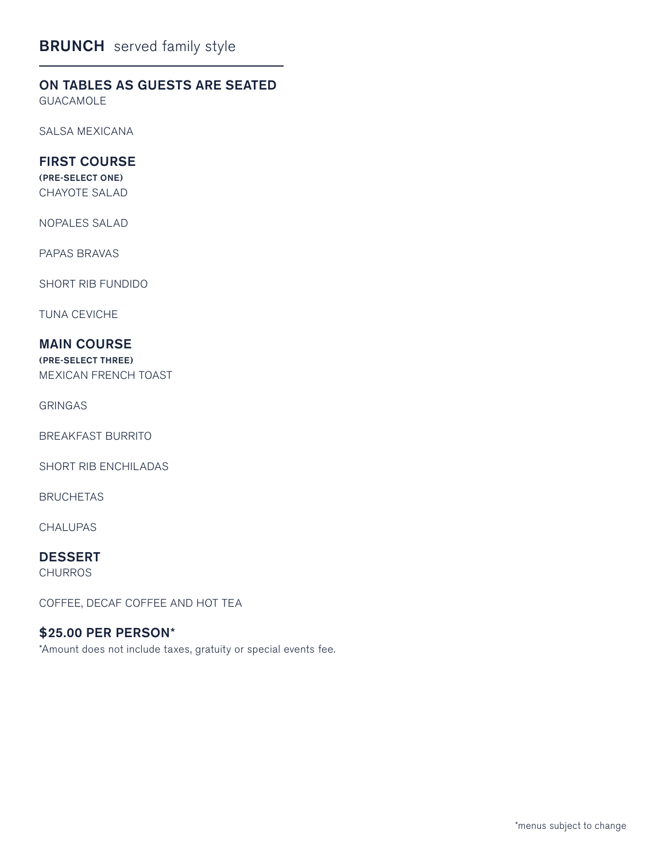## ON TABLES AS GUESTS ARE SEATED

GUACAMOLE

SALSA MEXICANA

## FIRST COURSE

(PRE-SELECT ONE) CHAYOTE SALAD

NOPALES SALAD

PAPAS BRAVAS

SHORT RIB FUNDIDO

TUNA CEVICHE

## MAIN COURSE

(PRE-SELECT THREE) MEXICAN FRENCH TOAST

GRINGAS

BREAKFAST BURRITO

SHORT RIB ENCHILADAS

BRUCHETAS

CHALUPAS

# DESSERT

**CHURROS** 

COFFEE, DECAF COFFEE AND HOT TEA

### \$25.00 PER PERSON\*